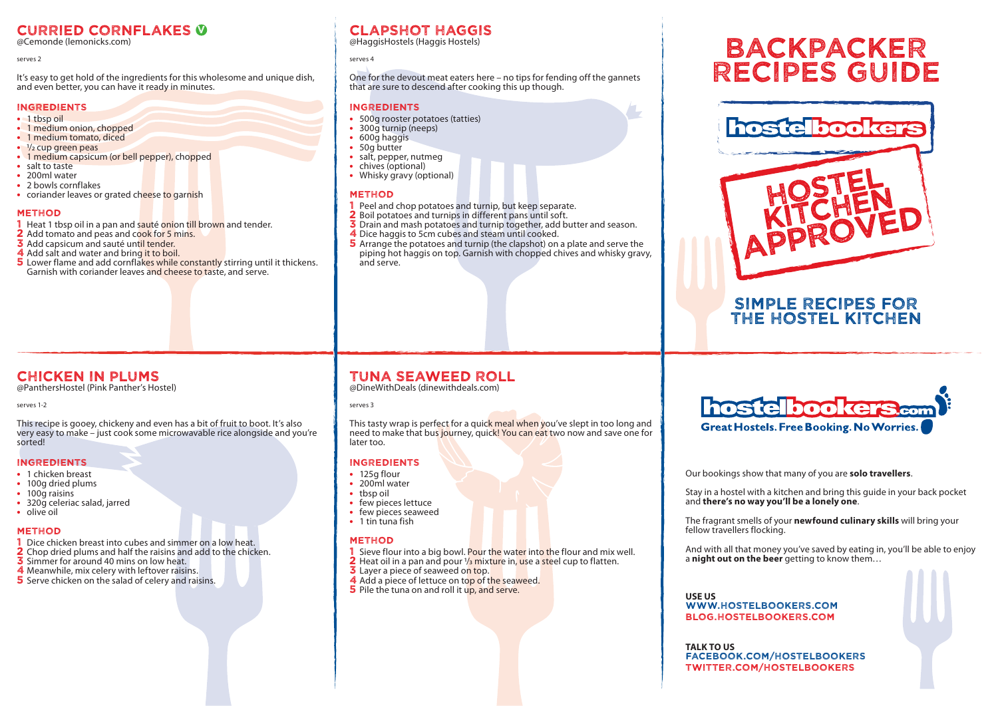# Curried Cornflakes v

@Cemonde (lemonicks.com)

#### serves 2

It's easy to get hold of the ingredients for this wholesome and unique dish, and even better, you can have it ready in minutes.

#### INGREDIENTS

- 1 tbsp oil
- **•** 1 medium onion, chopped
- **•** 1 medium tomato, diced
- <sup>1</sup>/<sub>2</sub> cup green peas
- 1 medium capsicum (or bell pepper), chopped
- **•** salt to taste **•** 200ml water
- **•** 2 bowls cornflakes
- coriander leaves or grated cheese to garnish

### **METHOD**

- 1 Heat 1 tbsp oil in a pan and sauté onion till brown and tender.
- 2 Add tomato and peas and cook for 5 mins.
- 3 Add capsicum and sauté until tender.
- 4 Add salt and water and bring it to boil.
- 5 Lower flame and add cornflakes while constantly stirring until it thickens. Garnish with coriander leaves and cheese to taste, and serve.

# Clapshot Haggis

@HaggisHostels (Haggis Hostels)

#### serves 4

One for the devout meat eaters here – no tips for fending off the gannets that are sure to descend after cooking this up though.

### INGREDIENTS

- **•** 500g rooster potatoes (tatties)
- **•** 300g turnip (neeps)
- **•** 600g haggis
- **•** 50g butter
- **•** salt, pepper, nutmeg
- **•** chives (optional)
- **•** Whisky gravy (optional)

### **METHOD**

- 1 Peel and chop potatoes and turnip, but keep separate.
- 2 Boil potatoes and turnips in different pans until soft.
- **3** Drain and mash potatoes and turnip together, add butter and season.
- 4 Dice haggis to 5cm cubes and steam until cooked.
- **5** Arrange the potatoes and turnip (the clapshot) on a plate and serve the piping hot haggis on top. Garnish with chopped chives and whisky gravy, and serve.

# Chicken in Plums

@PanthersHostel (Pink Panther's Hostel)

#### serves 1-2

This recipe is gooey, chickeny and even has a bit of fruit to boot. It's also very easy to make – just cook some microwavable rice alongside and you're sorted!

### INGREDIENTS

- **•** 1 chicken breast
- **•** 100g dried plums
- 100g raisins
- **•** 320g celeriac salad, jarred
- **•** olive oil

### **METHOD**

- 1 Dice chicken breast into cubes and simmer on a low heat.
- 2 Chop dried plums and half the raisins and add to the chicken.<br>3 Simmer for around 40 mins on low heat.
- 
- 4 Meanwhile, mix celery with leftover raisins.
- 5 Serve chicken on the salad of celery and raisins.

# Tuna Seaweed Roll

@DineWithDeals (dinewithdeals.com)

#### serves 3

This tasty wrap is perfect for a quick meal when you've slept in too long and need to make that bus journey, quick! You can eat two now and save one for later too.

### INGREDIENTS

- **•** 125g flour
- **•** 200ml water
- **•** tbsp oil
- **•** few pieces lettuce • few pieces seaweed
- **•** 1 tin tuna fish

### **METHOD**

- 1 Sieve flour into a big bowl. Pour the water into the flour and mix well.
- 2 Heat oil in a pan and pour 1/3 mixture in, use a steel cup to flatten.
- **3** Layer a piece of seaweed on top.
- 4 Add a piece of lettuce on top of the seaweed.
- 5 Pile the tuna on and roll it up, and serve.

# Backpacker Recipes Guide



# Simple recipes for the hostel kitchen



Our bookings show that many of you are **solo travellers**.

Stay in a hostel with a kitchen and bring this guide in your back pocket and **there's no way you'll be a lonely one**.

The fragrant smells of your **newfound culinary skills** will bring your fellow travellers flocking.

And with all that money you've saved by eating in, you'll be able to enjoy a **night out on the beer** getting to know them…

**USE US** WWW.HOSTELBOOKERS.COM blog.hostelbookers.com

**TALK TO US** facebook.com/hostelbookers twitter.com/hostelbookers